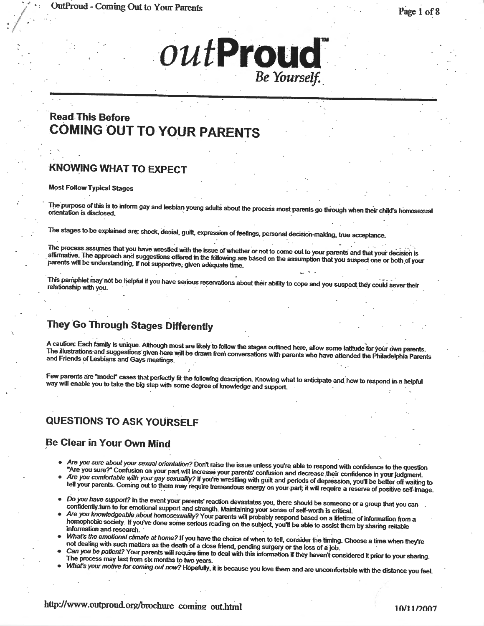OutProud - Coming Out to Your Parents **Page 1** of 8



# **Read. This Before COMING ·ouT TO YOUR PARENTS**

### **KNOWING WHAT TO EXPECT**

#### Most FoHow Typical Stages

The purpose of this is to inform gay and lesbian young adults about the process most parents go through when their child's homosexual<br>orientation is disclosed.

The stages to be explained are: shock, denial, guilt, expression of feelings, personal decision-making, true acceptance.

The process assumes that you have wrestled with the issue of whether or not to come out to your parents and that your decision is<br>affirmative. The approach and succeetings offered in the City whether or not to come out to affirmative. The approach and suggestions offered in the following are based on the assumption that you suspect one or both of your<br>parents will be understanding if not supportive, given adjaugh, that we based on the assum parents will be understandirig, if not supportive; giVen adequate time.

This pamphlet may not be helpful if you have serious reservations about their ability to cope and you suspect they could sever their<br>relationship with you. relationship with you.

# **They ·Go Through Stages Differently**

A caution: Each family is unique. Although most are likely to follow the stages outlined here, allow some latitude for your own parents.<br>The illustrations and suggestions given here will be drawn from acquerations will The illustrations and suggestions given here will be drawn from conversations with parents who have attended the Philadelphia Parents<br>and Friends of Lesbians and Gays meetings and Friends of Lesbians and Gays meetings.

Few parents are "modef' cases that perfectly fit the following description. Knowing what to anticipate and how to respond in a helpful way will enable you to take the big step with some degree of knowledge and support.

#### **QUESTIONS TO ASK YOURSELF**

#### **Be Clear in Your Own Mind**

- Are you sure about your sexual orientation? Don't raise the issue unless you're able to respond with confidence to the question • Are you sure?" Confusion on your part will increase your parents' confusion and decrease their confidence in your judgment.
- Are you comfortable with your gay sexuality? If you're wrestling with guilt and periods of depression, you'll be better off waiting to tell your parents. Coming out to them may require tremendous energy on your part; it will require a reserve of positive self-image.
- Do you have support? In the event your parents' reaction devastates you, there should be someone or a group that you can confidently.tum to for emotional support and strength. Maintaining your sense of self-worth is critical.
- Are you knowledgeable about homosexuality? Your parents will probably respond based on a lifetime of information from a homophobic society. If you've done some serious reading on the subject, you'll be able to assist them by sharing reliable information and research.
- what's the emotional climate at home? If you have the choice of when to tell, consider the timing. Choose a time when they're not dealing with such matters as the death of a close friend, pending surgery or the loss of a job.
- Can you *be* patient? Your parents wiH require time to deal with this ioforrnatiori if they haven't considered it prior to your sharing. The process may last from six months to two years.
- What's your motive for coming out now? Hopefully, it is because you love them and are uncomfortable with the distance you feel.

### http://www.outproud.org/brochure coming out.html **(**  $10/11/0007$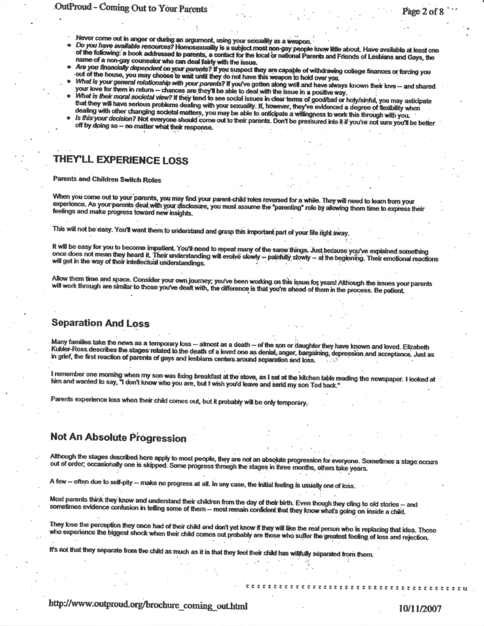# OutProud - Coming Out to Your Parents

- Never come out in anger or during an argument, using your sexuality as a weapon.
- Do you have available resources? Homosexuality is a subject most non-gay people know little about. Have available at least one of the following: a book addressed to parents, a contact for the local or national Parents and Friends of Lesbians and Gays, the name of a non-gay counselor who can deal fairly with the issue.
- Are you financially dependent on your parents? If you suspect they are capable of withdrawing college finances or forcing you out of the house, you may choose to wait until they do not have this weapon to hold over you.
- What is your general relationship with your parents? If you've gotten along well and have always known their love -- and shared. your love for them in return -- chances are they'll be able to deal with the issue in a positive way.<br>your love for them in return -- chances are they'll be able to deal with the issue in a positive way.
- What is their moral societal view? If they tend to see social issues in clear terms of good/bad or holy/sinful, you may anticipate that they will have serious problems dealing with your sexuality. If, however, they've evidenced a degree of flexibility when dealing with other changing societal matters, you may be able to anticipate a willingness to work this through with you.
- Is this your decision? Not everyone should come out to their parents. Don't be pressured into it if you're not sure you'll be better off by doing so -- no matter what their response.

### THEY'LL EXPERIENCE LOSS

**Parents and Children Switch Roles** 

When you come out to your parents, you may find your parent-child roles reversed for a while. They will need to learn from your experience. As your parents deal with your disclosure, you must assume the "parenting" role by allowing them time to express their feelings and make progress toward new insights.

This will not be easy. You'll want them to understand and grasp this important part of your life right away.

It will be easy for you to become impatient. You'll need to repeat many of the same things. Just because you've explained something once does not mean they heard it. Their understanding will evolve slowly -- painfully slowly -- at the beginning. Their emotional reactions will get in the way of their intellectual understandings.

Allow them time and space. Consider your own journey; you've been working on this issue for years! Although the issues your parents will work through are similar to those you've dealt with, the difference is that you're ahead of them in the process. Be patient.

#### **Separation And Loss**

Many families take the news as a temporary loss - almost as a death - of the son or daughter they have known and loved. Elizabeth Kubler-Ross describes the stages related to the death of a loved one as denial, anger, bargaining, depression and acceptance. Just as in grief, the first reaction of parents of gays and lesbians centers around separation and loss.

I remember one morning when my son was fixing breakfast at the stove, as I sat at the kitchen table reading the newspaper. I looked at him and wanted to say, "I don't know who you are, but I wish you'd leave and serid my son Ted back."

Parents experience loss when their child comes out, but it probably will be only temporary.

### **Not An Absolute Progression**

Although the stages described here apply to most people, they are not an absolute progression for everyone. Sometimes a stage occurs out of order; occasionally one is skipped. Some progress through the stages in three months, others take years.

A few - often due to self-pity - make no progress at all. In any case, the initial feeling is usually one of loss.

Most parents think they know and understand their children from the day of their birth. Even though they cling to old stories - and sometimes evidence confusion in telling some of them - most remain confident that they know what's going on inside a child.

They lose the perception they once had of their child and don't yet know if they will like the real person who is replacing that idea. Those who experience the biggest shock when their child comes out probably are those who suffer the greatest feeling of loss and rejection.

It's not that they separate from the child as much as it is that they feel their child has willfully separated from them.

http://www.outproud.org/brochure\_coming\_out.html

10/11/2007

age  $2$  of  $8$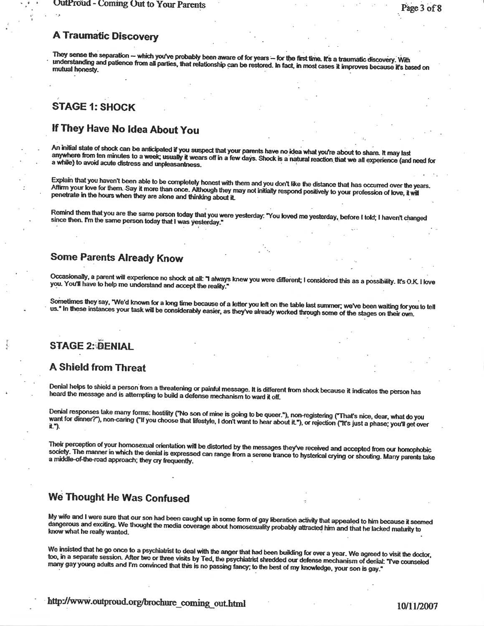## UutProud - Coming Out to Your Parents Page 3 of 8

#### **A Traumatic Discovery**

I hey sense the separation -- which you've probably been aware of for years -- for the first time. It's a traumatic discovery. With<br>understanding and patience from all parties, that miningatin can be accessed. It is the fi mutual understanding anding and patience from all parties, that relationship can be restored. In fact, in most cases it improves because it's based on<br>honesty.

## **STAGE 1: SHOCK**

## **If They Have No Idea About You**

An initial state of shock can be anticipated if you suspect that your parents have no idea what you're about to share. It may last anywhere from ten minutes to a week; usually it wears off in a few days. Shock is a natural reaction that we all experience (and need for<br>a while) to avoid acute distress and unpleasantness. a while) to avoid acute distress and unpleasantness.

Aftirm your love for them. Say it more than once. Although they may not initially respond positively to your profession of love, it will<br>penetrate in the hours when they are alone and this time that it. Explain that you haven't been able to be completely honest with them and you don't like the distance that has occurred over the years. penetrate in the hours when they are alone and thinking about it.

Remind them that you are the same person today that you were yesterday: "You loved me yesterday, before I told; I haven't changed<br>since then. I'm the same person today that I was yesterday."

### **Some Parents Already Know**

you. You'll have to help me understand and accept the reality." Occasionally, a parent will experience no shock at all: "I always knew you were different; I considered this as a possibility. It's O.K. I love<br>you, You'll have to belo me undergrand and assambly a suit was

Sometimes they say, "We'd known for a long time because of a letter you left on the table last summer; we've been waiting for you to tell us." In these instances your task will be considerably easier, as they've already worked through some of the stages on their own.

### $\mathsf{STAGE}\ 2: \widetilde{\mathsf{DEN}}$ IAL

#### **A Shield from Threat**

Denial helps to shield a person from a threatening or painful message. It is different from shock because it indicates the person has<br>heard the message and is attempting to build a defense mississation to subject the missi heard the message and is attempting to build a defense mechanism to ward it off.

want for dinner?"), non-caring ("If you choose that lifestyle, I don't want to hear about it."), or rejection ("It's just a phase; you'll get over<br>it."), Denial responses take many forms: hostiflty ("No son of mine is going to be queer."), non-registering ("Thafs nice, dear, what do you

Their perception of your homosexual orientation will be distorted by the messages they've received and accepted from our homophobic. society. The manner in which the denial is expressed can range from a serene trance to hysterical crying or shouting. Many parents take<br>a middle-of-the-road approach: they cry frequently middle-of-the-road approach; they cry frequently.

# **We Thought He Was Confused**

My wife and I were sure that our son had been caught up in some form of gay liberation activity that appealed to him because it seemed dangerous and exciting. We thought the media coverage about homosexuality probably attracted him and that he lacked maturity to he really wanted.<br>Know what he really wanted.

We insisted that he go once to a psychiatrist to deal with the anger that had been building for over a year. We agreed to visit the doctor, too, in a separate session. After two or three visits by Ted, the psychiatrist shredded our defense mechanism of deniat "I've counseled many gay young adults and I'm convinced that this is no passing fancy; to the best of my knowledge, your son is gay."

http://www.outproud.org/brochure\_coming\_out.html 10/ll/2007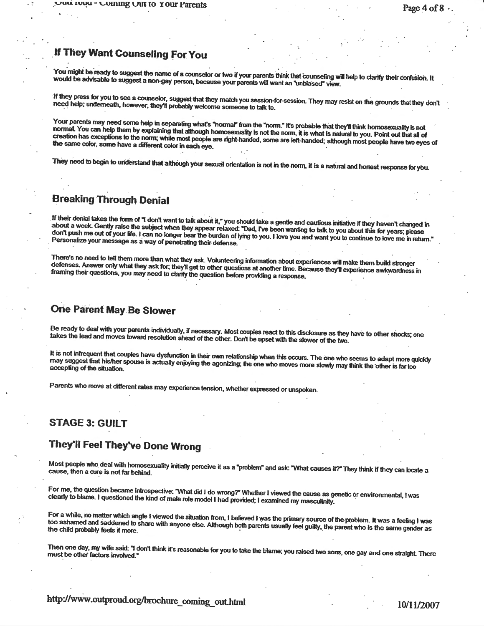# If They Want Counseling For You

You might be ready to suggest the name of a counselor or two if your parents think that counseling will help to clarify their confusion. It would be advisable to suggest a non-gay person, because your parents will want an "unbiased" view.

If they press for you to see a counselor, suggest that they match you session-for-session. They may resist on the grounds that they don't need help; underneath, however, they'll probably welcome someone to talk to.

Your parents may need some help in separating what's "normal" from the "norm." It's probable that they'll think homosexuality is not normal. You can help them by explaining that although homosexuality is not the norm, it is what is natural to you. Point out that all of creation has exceptions to the norm; while most people are right-handed, some are left-handed; although most people have two eyes of the same color, some have a different color in each eye.

They need to begin to understand that although your sexual orientation is not in the norm, it is a natural and honest response for you.

### **Breaking Through Denial**

If their denial takes the form of "I don't want to talk about it," you should take a gentle and cautious initiative if they haven't changed in about a week. Gently raise the subject when they appear relaxed: "Dad, I've been wanting to talk to you about this for years; please don't push me out of your life. I can no longer bear the burden of lying to you. I love you and want you to continue to love me in return." Personalize your message as a way of penetrating their defense.

There's no need to tell them more than what they ask. Volunteering information about experiences will make them build stronger defenses. Answer only what they ask for, they'll get to other questions at another time. Because they'll experience awkwardness in framing their questions, you may need to clarify the question before providing a response.

#### **One Parent May Be Slower**

Be ready to deal with your parents individually, if necessary. Most couples react to this disclosure as they have to other shocks; one takes the lead and moves toward resolution ahead of the other. Don't be upset with the slower of the two.

It is not infrequent that couples have dysfunction in their own relationship when this occurs. The one who seems to adapt more quickly may suggest that his/her spouse is actually enjoying the agonizing; the one who moves more slowly may think the other is far too accepting of the situation.

Parents who move at different rates may experience tension, whether expressed or unspoken.

#### **STAGE 3: GUILT**

## They'll Feel They've Done Wrong

Most people who deal with homosexuality initially perceive it as a "problem" and ask: "What causes it?" They think if they can locate a cause, then a cure is not far behind.

For me, the question became introspective: "What did I do wrong?" Whether I viewed the cause as genetic or environmental, I was clearly to blame. I questioned the kind of male role model I had provided; I examined my masculinity.

For a while, no matter which angle I viewed the situation from, I believed I was the primary source of the problem. It was a feeling I was too ashamed and saddened to share with anyone else. Although both parents usually feel guilty, the parent who is the same gender as the child probably feels it more.

Then one day, my wife said: "I don't think it's reasonable for you to take the blame; you raised two sons, one gay and one straight. There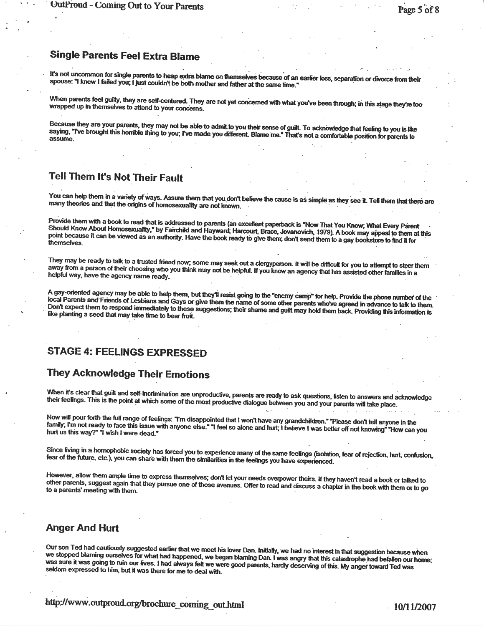# **Single Parents Feel Extra Blame**

It's not uncommon for single parents to heap extra blame on themselves because of an earlier loss, separation or divorce from their<br>spouse: "I knew I failed vour Livet couldant he hath and the with spouse: "I knew I failed you; I just couldn't be both mother and father at the same time."

wrapped up in themselves to attend to your concerns. When parents feel guilty, they are self-centered. They are not yet concerned with what you've been through; in this stage they're too<br>wrapped up in themselves to attend to your concerns.

Because they are your parents, they may not be able to admit to you their sense of guilt. To acknowledge that feeling to you is like saying, "I've brought this horrible thing to you; I've made you different. Blame me." That's not a comfortable position for parents to assume.

## **Tell Them** It's **Not Their Fault**

You can help them in a variety of ways. Assure them that you don't believe the cause is as simple as they see it. Tell them that there are<br>many theories and that the croins of hames wurdth was in the word on the cause is a many theories and that the origins of homosexuality are not known.

Provide Provide them with a book to read that is addressed to parents (an excellent paperback is "Now That You Know; What Every Parent<br>Should Know About Homosexuality " by Fairchild and Happened Happened Prace, Jawan (the 4000) 4. point because it can be viewed as an authority. Have the book ready to give them; don't send them to a gay bookstore to find it for<br>themselves. Should Know About Homosexuality," by Fairchild and Hayward; Harcourt, Brace, Jovanovich, 1979). A book may appeal to them at this

They may be ready to talk to a trusted friend now; some may seek out a clergyperson. It will be difficult for you to attempt to steer them<br>away from a person of their choosing who was think may act to the fact of the diffi away from a person of their choosing who you think may not be helpful. If you know an agency that has assisted other families in a<br>helpful way, have the creater pame ased : helpful way, have the agency name ready.

A gay-oriented agency may be able to help them, but they'll resist going to the "enemy camp" for help. Provide the phone number of the local Parents and Friends of Lesbians and Gays or give them the name of some other parents who've agreed in advance to talk to them.<br>Don't expect them to respond immediately to these succeptions their shame of some other w expect them to respond immediately to these suggestions; their shame and guilt may hold them back. Providing this information is like planting a seed that may take time to bear fruit.

## **STAGE 4: FEELINGS EXPRESSED**

#### **They Acknowledge Their Emotions**

When it's clear that guilt and self-incrimination are unproductive, parents are ready to ask questions, listen to answers and acknowledge their feermgs. This is the point at which some of the most productive dialogue between you and your parents will take place.

Now will pour forth the full range of feelings: "I'm disappointed that I won't have any grandchildren." "Please don't tell anyone in the hurt us this way?" "I wish I were dead." family; I'm not ready to face this issue with anyone else." "I feel so alone and hurt; I believe I was better off not knowing" "How can you

Since living in a homophobic society has forced you to experience many of the same feelings (isolation, fear of rejection, hurt, confusion, fear of the future, etc.). you can share with them the similarities in the feelings you have experienced.

other parents, suggest again that they pursue one of those avenues. Offer to read and discuss a chapter in the book with them or to go However, allow them ample time to express themselves; don't let your needs overpower theirs. If they haven't read a book or talked to to a parents' meeting with them.

#### **Anger And Hurt**

Our son Ted had cautiously suggested earlier that we meet his lover Dan. Initially, we had no interest in that suggestion because when<br>we stopped blaming ourselves for what had happened, we happe blaming Day. I We stopped blaming ourselves for what had happened, we began blaming Dan. I was angry that this catastrophe had befallen our home;<br>Was sure it was going to pun our lives. I had always foll we was apad assadt, bedi. I was a was sure it was going to ruin our lives. I had always felt we were good parents, hardly deserving of this. My anger toward Ted was seldom expressed to him, but it was there for me to deal with.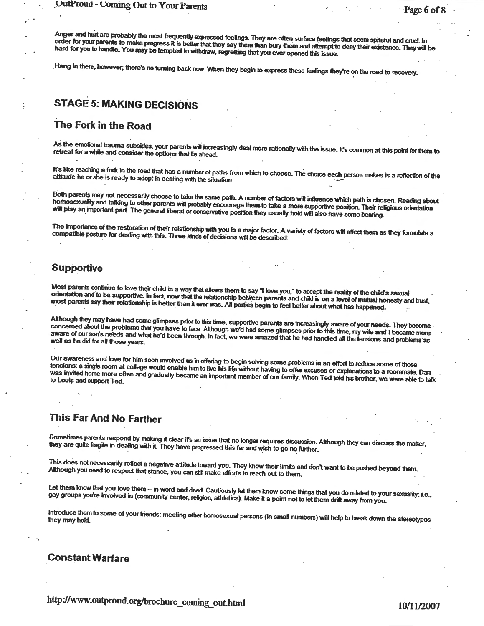Anger order for and hurt are probably the most frequently expressed feelings, They are often surface feelings that seem spiteful and cruel. In order for your parents to :<br>hard for you to handle. Yo You make progress it is better that they say them than bury their and attempt to deny their existence. They will be<br>ou may be termited to withdraw, regretting the turn and attempt to deny their existence. They will be may be tempted to withdraw, regretting that you ever opened this issue.

Hang in there, however; there's no turning back now. When they begin to express these feelings they're on the road to recovery.

# **STAGE 5: MAKING DECISIONS**

## **The Fork in the Road**

AS retreat the emotional for a while trauma subsides, your parents will increasingly deal more rationally with the issue. It's common at this point for them to<br>and consider the options that lie ahead. retreat for a while and consider the options that lie ahead.

It's like reaching a fork in the road that has a number of paths from which to choose. The choice each person makes is a reflection of the<br>attitude he or she is ready to adopt in dealing with the situation.

homosexuality and talking to other parents will probably encourage them to take a more supportive position. Their religious orientation<br>Will play an important part. The general liberal or concourative position in the a mor Both parents may not necessarily choose to take the same path. A number of factors will influence which path is chosen. Reading about<br>homosexuality and talking to other parents will probably encourage them to take a mass s will play an important part. The general liberal or conservative position they usually hold will also have some bearing.

The compatible importance of the posture for dealing with this. Three kinds of decisions will be described: for restoration of their relationship with you is a major factor. A variety of factors will affect them as they formulate a<br>dealing with this. Three kinds of doginisms will be described:

#### **Supportive**

orientation Most Parents its continue to love their child in a way that allows them to say "I love you," to accept the reality of the child's sexual<br>and to be supportive, In fact, now that the minimating hat issues and the second the reality of th most parents say their relationship is better than it ever was. All parties begin to feel better about what has happened. orientation and to be supportive. In fact, now that the relationship between parents and child is on a level of mutual honesty and trust,

Although they may ha<br>concerned about the have had some glimpses prior to this time, supportive parents are increasingly aware of your needs. They become problems that you have to face. Although we'd had some glimpses prior to this time, my wife and I became more aware of our son's needs and what he'd been through. In fact, we were amazed that he had handled all the tensions and problems as<br>well as he did for all those years.

t Our Jur awareness and love for him soon involved us in offering to begin solving some problems in an effort to reduce some of those<br>ensions: a single room at college would enable bim to live his life with a file of the problem tensions: a single room at d<br>was invited home more ofte at college would enable him to live his life without having to offer excuses or explanations to a roommate. Dan<br>Often and pradually became an important momber of our family NA and gradually became an important member of our family. When Ted told his brother, we were able to talk to Louis and support Ted.

#### **This Far And No Farther**

they are quite fragile in dealing with it. They have progressed this far and wish to go no further. Sometimes parents respond by making it clear it's an issue that no longer requires discussion. Although they can discuss the matter,<br>they are quite fragile in dealing with it. They have pregressed this far and with the

Although you need to respect that stance, you can still make efforts to reach out to them. This does not need necessarily reflect a negative attitude toward you. They know their limits and don't want to be pushed beyond them.

gay Let them know that you love them -- in word and deed. Cautiously let them know some things that you do related to your sexuality; i.e.,<br>gay groups you're involved in (community center, religion, othletiae). Make Barwy some groups you're involved in (community center, religion, athletics). Make it a point not to let them drift away from you.

they Introduce <sup>t</sup>uce them to some of your friends; meeting other homosexual persons (in small numbers) will help to break down the stereotypes<br>may hold,

#### **Constant Warfare**

.-

http://www.outproud.org/brochure\_coming\_out.html 10/11/2007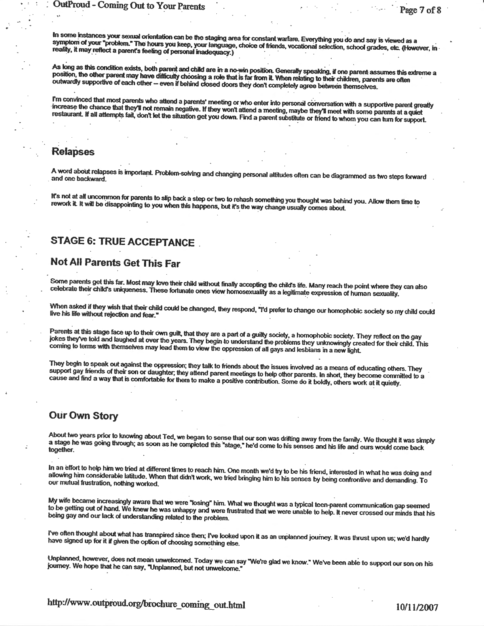In some instances your sexual orientation can be the staging area for constant warfare. Everything you do and say is viewed as a .<br>symptom of your "problem " The hours you keep, your language ...t...." symptom of your "problem." The hours you keep, your language, choice of friends, vocational selection, school grades, etc. (However, in ·<br>reality, it may reflect a parent's feeling of personal inadequacy;)

As long as this condition exists, both parent and child are in a no-win position. Generally speaking, if one parent assumes this extreme a<br>position, the other parent may have differ the chiese we position, the other parent may have difficulty choosing a role that is far from it. When relating to their children, parents are often<br>outwardly supportive of each other · over if behind stars is far from it. When relating outwardly supportive of each other- even if behind closed doors they don't completely agree between themselves.

I'm convinced that most parents who attend a parents' meeting or who enter into personal conversation with a supportive parent greatly<br>increase the chance that they'll not remain peoplive. If they won't chan do prestige a FRCTEASE the chance that they'll not remain negative. If they won't attend a meeting, maybe they'll meet with some parents at a quiet<br>restaurant, if all attempts fail, don't let the situation got you down. First a gave the restaurant. If all attempts fail, don't let the situation get you down. Find a parent substitute or friend to whom you can tum for support.

#### **Relapses**

A word about relapses is important. Problem-solving and changing personal attitudes often can be diagrammed as two steps forward . and one backward.

it's not at all uncommon for parents to slip back a step or two to rehash something you thought was behind you. Allow them time to<br>rework it. It will be disappointing to you when this happens, but it's the way change usual

### **STAGE 6: TRUE ACCEPTANCE**

#### **Not All Parents Get This Far**

Some parents get this far. Most may love their child without finally accepting the child's life. Many reach the point where they can also<br>celebrate their child's uniqueness. These fortunate once view homeopportions a heilt celebrate their child's uniqueness. These fortunate ones view homosexuality as a legitimate expression of human sexuality.

When asked if they wish that their child could be changed, they respond, "I'd prefer to change our homophobic society so my child could live his life without rejection and fear."

Parents at this stage face up to their own guilt, that they are a part of a guilty society, a homophobic society. They reflect on the gay coming to terms with themselves may lead them to view the oppression of all gays and lesbians in a new light. jokes they've told and laughed at over the years. They begin to understand the problems they unknowingly created for their child. This

They begin to speak out against the oppression; they talk to friends about the issues involved as a means of educating others. They support gay friends of their son or daughter; they attend parent meetings to help other parents. In short, they become committed to a cause and find a way that is comfortable for them to make a positive contnbution. Some do it boldly, others work at it quietly.

#### **Our Own Story**

About About two years prior to knowing about Ted, we began to sense that our son was drifting away from the family. We thought it was simply<br>a stage he was going through: as soon as he completed this "stage." held was to this ma to stage he was going through; as soon as he completed this "stage," he'd come to his senses and his life and ours would come back together.

In an effort to help him we tried at different times to reach him. One month we'd try to be his friend, interested in what he was doing and<br>allowing him considerable latitude. When that didn't wests we take their that with allowing him considerable latitude. When that didn't work, we tried bringing him to his senses by being confrontive and demanding. To<br>our mutual frustration, nothing worked our mutual frustration, nothing worked.

My wife became increasingly aware that we were "'osing" him. What we thought was a typical teen-parent communication gap seemed being gay and our lack of understanding related to the problem. to be getting out of hand. We knew he was unhappy and were frustrated that we were unable to help. It never crossed our minds that his<br>being nay and our lack of understanding sately in the list of understanding that we wer

I've often thought about what has transpired since then; I've looked upon it as an unplanned jouiney. It was thrust upon us; we'd hardly have signed up for it if given the option of choosing something else.

Unplanned, however, does not mean unwelcomed. Today we can say 'We're glad we know. • We've been able to support our son on his joumey. We hope that he can say, "Unplanned, but not unwelcome."